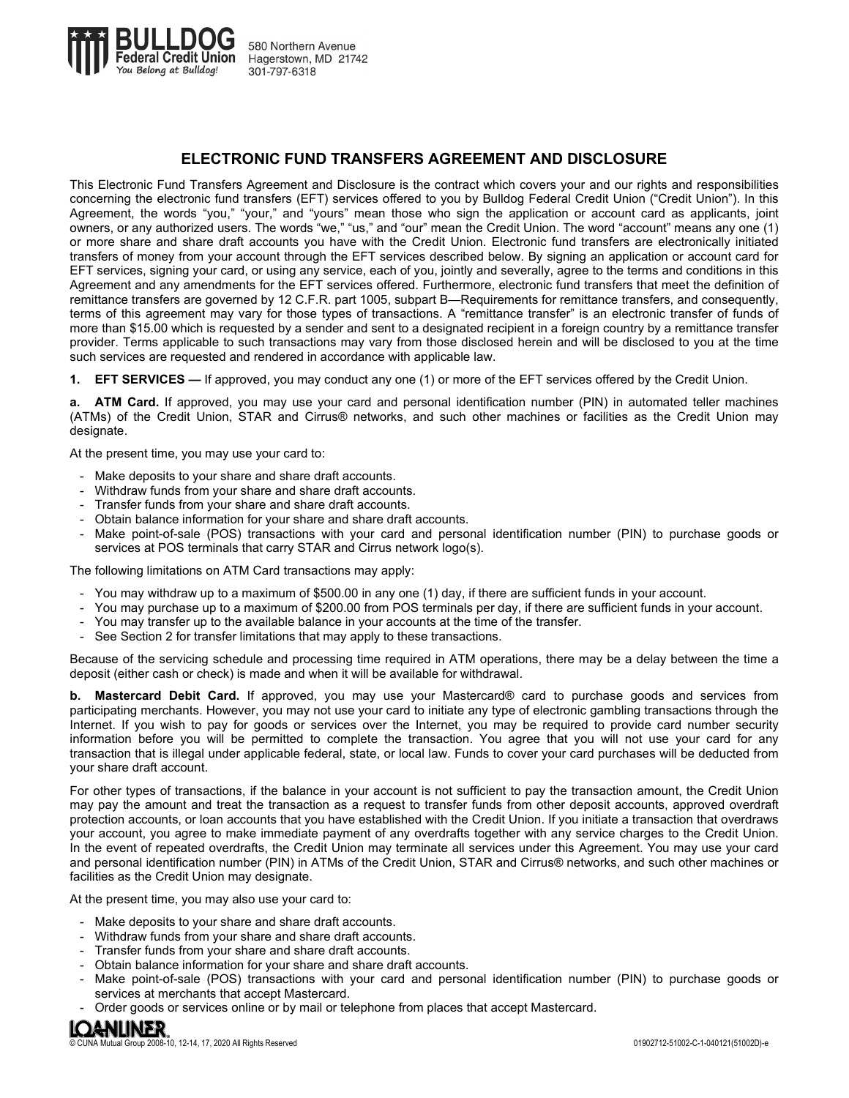

## **ELECTRONIC FUND TRANSFERS AGREEMENT AND DISCLOSURE**

This Electronic Fund Transfers Agreement and Disclosure is the contract which covers your and our rights and responsibilities concerning the electronic fund transfers (EFT) services offered to you by Bulldog Federal Credit Union ("Credit Union"). In this Agreement, the words "you," "your," and "yours" mean those who sign the application or account card as applicants, joint owners, or any authorized users. The words "we," "us," and "our" mean the Credit Union. The word "account" means any one (1) or more share and share draft accounts you have with the Credit Union. Electronic fund transfers are electronically initiated transfers of money from your account through the EFT services described below. By signing an application or account card for EFT services, signing your card, or using any service, each of you, jointly and severally, agree to the terms and conditions in this Agreement and any amendments for the EFT services offered. Furthermore, electronic fund transfers that meet the definition of remittance transfers are governed by 12 C.F.R. part 1005, subpart B—Requirements for remittance transfers, and consequently, terms of this agreement may vary for those types of transactions. A "remittance transfer" is an electronic transfer of funds of more than \$15.00 which is requested by a sender and sent to a designated recipient in a foreign country by a remittance transfer provider. Terms applicable to such transactions may vary from those disclosed herein and will be disclosed to you at the time such services are requested and rendered in accordance with applicable law.

**1. EFT SERVICES —** If approved, you may conduct any one (1) or more of the EFT services offered by the Credit Union.

**a. ATM Card.** If approved, you may use your card and personal identification number (PIN) in automated teller machines (ATMs) of the Credit Union, STAR and Cirrus® networks, and such other machines or facilities as the Credit Union may designate.

At the present time, you may use your card to:

- Make deposits to your share and share draft accounts.
- Withdraw funds from your share and share draft accounts.
- Transfer funds from your share and share draft accounts.
- Obtain balance information for your share and share draft accounts.
- Make point-of-sale (POS) transactions with your card and personal identification number (PIN) to purchase goods or services at POS terminals that carry STAR and Cirrus network logo(s).

The following limitations on ATM Card transactions may apply:

- You may withdraw up to a maximum of \$500.00 in any one (1) day, if there are sufficient funds in your account.
- You may purchase up to a maximum of \$200.00 from POS terminals per day, if there are sufficient funds in your account.
- You may transfer up to the available balance in your accounts at the time of the transfer.
- See Section 2 for transfer limitations that may apply to these transactions.

Because of the servicing schedule and processing time required in ATM operations, there may be a delay between the time a deposit (either cash or check) is made and when it will be available for withdrawal.

**b. Mastercard Debit Card.** If approved, you may use your Mastercard® card to purchase goods and services from participating merchants. However, you may not use your card to initiate any type of electronic gambling transactions through the Internet. If you wish to pay for goods or services over the Internet, you may be required to provide card number security information before you will be permitted to complete the transaction. You agree that you will not use your card for any transaction that is illegal under applicable federal, state, or local law. Funds to cover your card purchases will be deducted from your share draft account.

For other types of transactions, if the balance in your account is not sufficient to pay the transaction amount, the Credit Union may pay the amount and treat the transaction as a request to transfer funds from other deposit accounts, approved overdraft protection accounts, or loan accounts that you have established with the Credit Union. If you initiate a transaction that overdraws your account, you agree to make immediate payment of any overdrafts together with any service charges to the Credit Union. In the event of repeated overdrafts, the Credit Union may terminate all services under this Agreement. You may use your card and personal identification number (PIN) in ATMs of the Credit Union, STAR and Cirrus® networks, and such other machines or facilities as the Credit Union may designate.

At the present time, you may also use your card to:

- Make deposits to your share and share draft accounts.
- Withdraw funds from your share and share draft accounts.
- Transfer funds from your share and share draft accounts.
- Obtain balance information for your share and share draft accounts.
- Make point-of-sale (POS) transactions with your card and personal identification number (PIN) to purchase goods or services at merchants that accept Mastercard.
- Order goods or services online or by mail or telephone from places that accept Mastercard.

# **IQANLINER**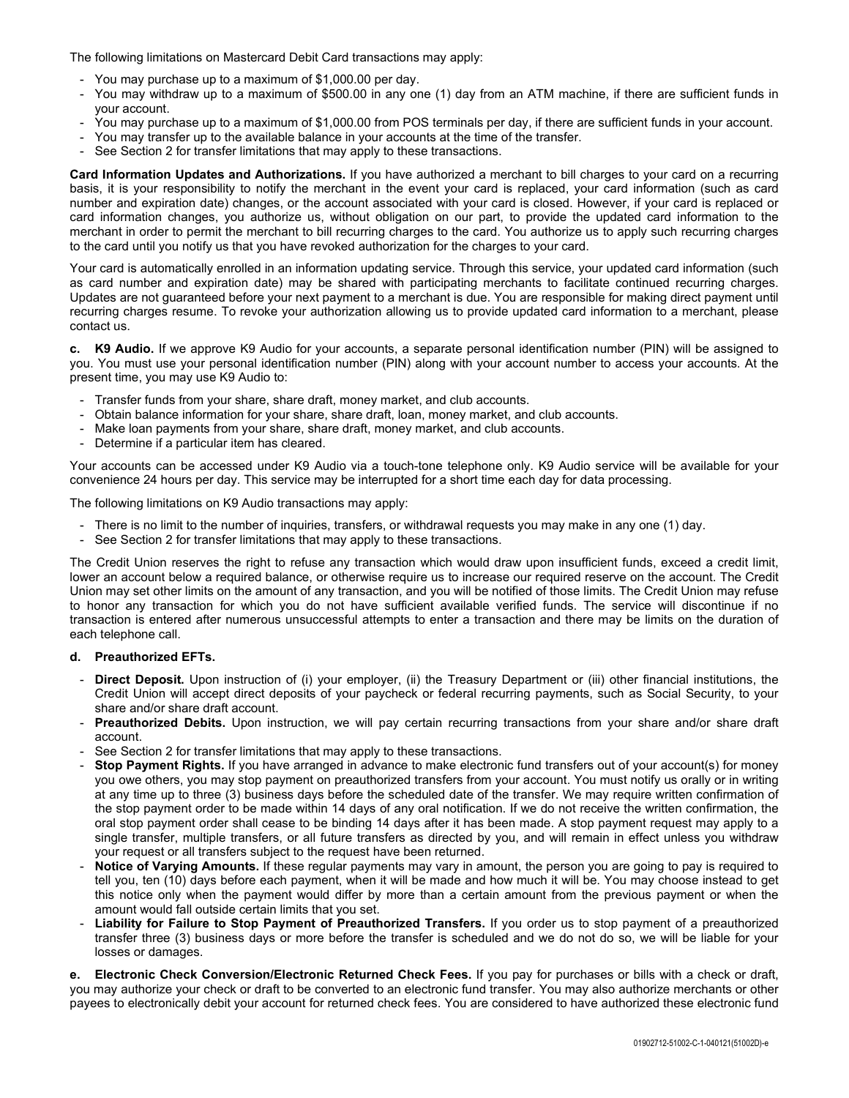The following limitations on Mastercard Debit Card transactions may apply:

- You may purchase up to a maximum of \$1,000.00 per day.
- You may withdraw up to a maximum of \$500.00 in any one (1) day from an ATM machine, if there are sufficient funds in your account.
- You may purchase up to a maximum of \$1,000.00 from POS terminals per day, if there are sufficient funds in your account.
- You may transfer up to the available balance in your accounts at the time of the transfer.<br>- See Section 2 for transfer limitations that may apply to these transactions
- See Section 2 for transfer limitations that may apply to these transactions.

**Card Information Updates and Authorizations.** If you have authorized a merchant to bill charges to your card on a recurring basis, it is your responsibility to notify the merchant in the event your card is replaced, your card information (such as card number and expiration date) changes, or the account associated with your card is closed. However, if your card is replaced or card information changes, you authorize us, without obligation on our part, to provide the updated card information to the merchant in order to permit the merchant to bill recurring charges to the card. You authorize us to apply such recurring charges to the card until you notify us that you have revoked authorization for the charges to your card.

Your card is automatically enrolled in an information updating service. Through this service, your updated card information (such as card number and expiration date) may be shared with participating merchants to facilitate continued recurring charges. Updates are not guaranteed before your next payment to a merchant is due. You are responsible for making direct payment until recurring charges resume. To revoke your authorization allowing us to provide updated card information to a merchant, please contact us.

**c. K9 Audio.** If we approve K9 Audio for your accounts, a separate personal identification number (PIN) will be assigned to you. You must use your personal identification number (PIN) along with your account number to access your accounts. At the present time, you may use K9 Audio to:

- Transfer funds from your share, share draft, money market, and club accounts.
- Obtain balance information for your share, share draft, loan, money market, and club accounts.
- Make loan payments from your share, share draft, money market, and club accounts.
- Determine if a particular item has cleared.

Your accounts can be accessed under K9 Audio via a touch-tone telephone only. K9 Audio service will be available for your convenience 24 hours per day. This service may be interrupted for a short time each day for data processing.

The following limitations on K9 Audio transactions may apply:

- There is no limit to the number of inquiries, transfers, or withdrawal requests you may make in any one (1) day.
- See Section 2 for transfer limitations that may apply to these transactions.

The Credit Union reserves the right to refuse any transaction which would draw upon insufficient funds, exceed a credit limit, lower an account below a required balance, or otherwise require us to increase our required reserve on the account. The Credit Union may set other limits on the amount of any transaction, and you will be notified of those limits. The Credit Union may refuse to honor any transaction for which you do not have sufficient available verified funds. The service will discontinue if no transaction is entered after numerous unsuccessful attempts to enter a transaction and there may be limits on the duration of each telephone call.

## **d. Preauthorized EFTs.**

- **Direct Deposit.** Upon instruction of (i) your employer, (ii) the Treasury Department or (iii) other financial institutions, the Credit Union will accept direct deposits of your paycheck or federal recurring payments, such as Social Security, to your share and/or share draft account.
- **Preauthorized Debits.** Upon instruction, we will pay certain recurring transactions from your share and/or share draft account.
- See Section 2 for transfer limitations that may apply to these transactions.
- **Stop Payment Rights.** If you have arranged in advance to make electronic fund transfers out of your account(s) for money you owe others, you may stop payment on preauthorized transfers from your account. You must notify us orally or in writing at any time up to three (3) business days before the scheduled date of the transfer. We may require written confirmation of the stop payment order to be made within 14 days of any oral notification. If we do not receive the written confirmation, the oral stop payment order shall cease to be binding 14 days after it has been made. A stop payment request may apply to a single transfer, multiple transfers, or all future transfers as directed by you, and will remain in effect unless you withdraw your request or all transfers subject to the request have been returned.
- Notice of Varying Amounts. If these regular payments may vary in amount, the person you are going to pay is required to tell you, ten (10) days before each payment, when it will be made and how much it will be. You may choose instead to get this notice only when the payment would differ by more than a certain amount from the previous payment or when the amount would fall outside certain limits that you set.
- Liability for Failure to Stop Payment of Preauthorized Transfers. If you order us to stop payment of a preauthorized transfer three (3) business days or more before the transfer is scheduled and we do not do so, we will be liable for your losses or damages.

**e. Electronic Check Conversion/Electronic Returned Check Fees.** If you pay for purchases or bills with a check or draft, you may authorize your check or draft to be converted to an electronic fund transfer. You may also authorize merchants or other payees to electronically debit your account for returned check fees. You are considered to have authorized these electronic fund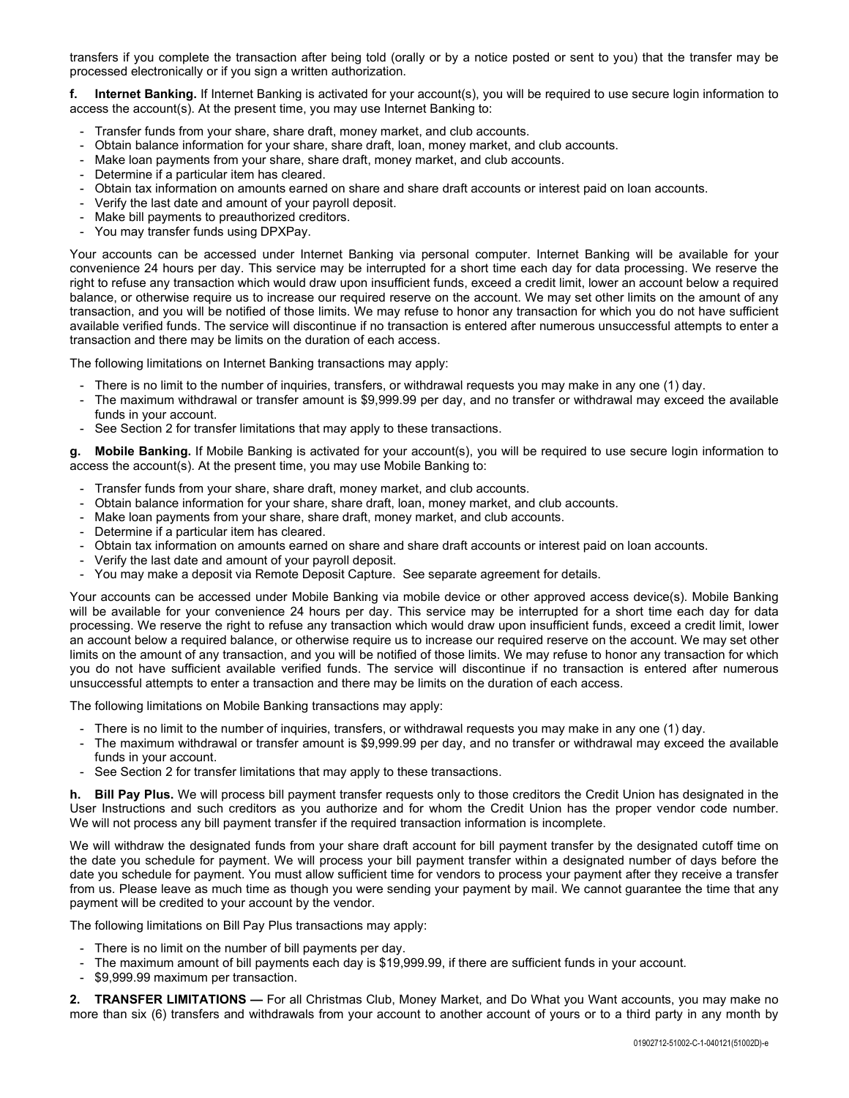transfers if you complete the transaction after being told (orally or by a notice posted or sent to you) that the transfer may be processed electronically or if you sign a written authorization.

**f. Internet Banking.** If Internet Banking is activated for your account(s), you will be required to use secure login information to access the account(s). At the present time, you may use Internet Banking to:

- Transfer funds from your share, share draft, money market, and club accounts.
- Obtain balance information for your share, share draft, loan, money market, and club accounts.
- Make loan payments from your share, share draft, money market, and club accounts.
- Determine if a particular item has cleared.
- Obtain tax information on amounts earned on share and share draft accounts or interest paid on loan accounts.
- Verify the last date and amount of your payroll deposit.
- Make bill payments to preauthorized creditors.
- You may transfer funds using DPXPay.

Your accounts can be accessed under Internet Banking via personal computer. Internet Banking will be available for your convenience 24 hours per day. This service may be interrupted for a short time each day for data processing. We reserve the right to refuse any transaction which would draw upon insufficient funds, exceed a credit limit, lower an account below a required balance, or otherwise require us to increase our required reserve on the account. We may set other limits on the amount of any transaction, and you will be notified of those limits. We may refuse to honor any transaction for which you do not have sufficient available verified funds. The service will discontinue if no transaction is entered after numerous unsuccessful attempts to enter a transaction and there may be limits on the duration of each access.

The following limitations on Internet Banking transactions may apply:

- There is no limit to the number of inquiries, transfers, or withdrawal requests you may make in any one (1) day.
- The maximum withdrawal or transfer amount is \$9,999.99 per day, and no transfer or withdrawal may exceed the available funds in your account.
- See Section 2 for transfer limitations that may apply to these transactions.

**g. Mobile Banking.** If Mobile Banking is activated for your account(s), you will be required to use secure login information to access the account(s). At the present time, you may use Mobile Banking to:

- Transfer funds from your share, share draft, money market, and club accounts.
- Obtain balance information for your share, share draft, loan, money market, and club accounts.
- Make loan payments from your share, share draft, money market, and club accounts.
- Determine if a particular item has cleared.
- Obtain tax information on amounts earned on share and share draft accounts or interest paid on loan accounts.
- Verify the last date and amount of your payroll deposit.
- You may make a deposit via Remote Deposit Capture. See separate agreement for details.

Your accounts can be accessed under Mobile Banking via mobile device or other approved access device(s). Mobile Banking will be available for your convenience 24 hours per day. This service may be interrupted for a short time each day for data processing. We reserve the right to refuse any transaction which would draw upon insufficient funds, exceed a credit limit, lower an account below a required balance, or otherwise require us to increase our required reserve on the account. We may set other limits on the amount of any transaction, and you will be notified of those limits. We may refuse to honor any transaction for which you do not have sufficient available verified funds. The service will discontinue if no transaction is entered after numerous unsuccessful attempts to enter a transaction and there may be limits on the duration of each access.

The following limitations on Mobile Banking transactions may apply:

- There is no limit to the number of inquiries, transfers, or withdrawal requests you may make in any one (1) day.
- The maximum withdrawal or transfer amount is \$9,999.99 per day, and no transfer or withdrawal may exceed the available funds in your account.
- See Section 2 for transfer limitations that may apply to these transactions.

**h. Bill Pay Plus.** We will process bill payment transfer requests only to those creditors the Credit Union has designated in the User Instructions and such creditors as you authorize and for whom the Credit Union has the proper vendor code number. We will not process any bill payment transfer if the required transaction information is incomplete.

We will withdraw the designated funds from your share draft account for bill payment transfer by the designated cutoff time on the date you schedule for payment. We will process your bill payment transfer within a designated number of days before the date you schedule for payment. You must allow sufficient time for vendors to process your payment after they receive a transfer from us. Please leave as much time as though you were sending your payment by mail. We cannot guarantee the time that any payment will be credited to your account by the vendor.

The following limitations on Bill Pay Plus transactions may apply:

- There is no limit on the number of bill payments per day.
- The maximum amount of bill payments each day is \$19,999.99, if there are sufficient funds in your account.
- \$9,999.99 maximum per transaction.

**2. TRANSFER LIMITATIONS —** For all Christmas Club, Money Market, and Do What you Want accounts, you may make no more than six (6) transfers and withdrawals from your account to another account of yours or to a third party in any month by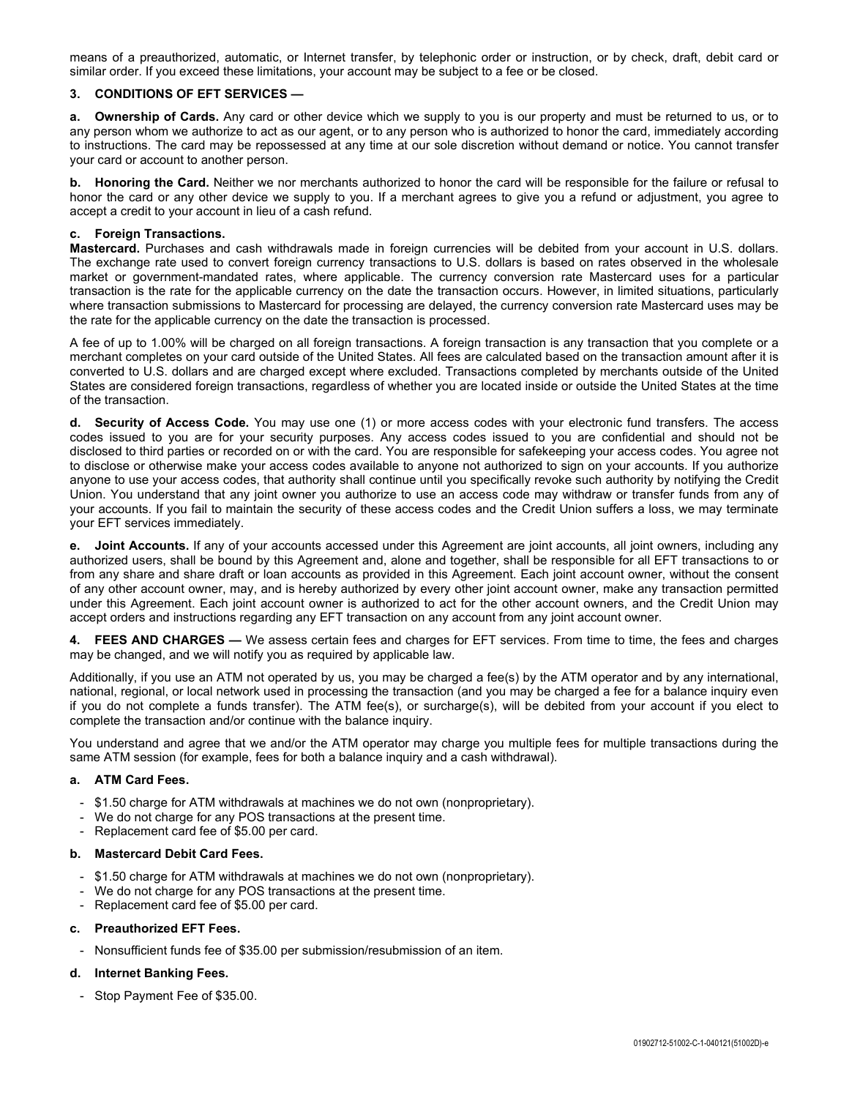means of a preauthorized, automatic, or Internet transfer, by telephonic order or instruction, or by check, draft, debit card or similar order. If you exceed these limitations, your account may be subject to a fee or be closed.

## **3. CONDITIONS OF EFT SERVICES —**

**a. Ownership of Cards.** Any card or other device which we supply to you is our property and must be returned to us, or to any person whom we authorize to act as our agent, or to any person who is authorized to honor the card, immediately according to instructions. The card may be repossessed at any time at our sole discretion without demand or notice. You cannot transfer your card or account to another person.

**b. Honoring the Card.** Neither we nor merchants authorized to honor the card will be responsible for the failure or refusal to honor the card or any other device we supply to you. If a merchant agrees to give you a refund or adjustment, you agree to accept a credit to your account in lieu of a cash refund.

#### **c. Foreign Transactions.**

**Mastercard.** Purchases and cash withdrawals made in foreign currencies will be debited from your account in U.S. dollars. The exchange rate used to convert foreign currency transactions to U.S. dollars is based on rates observed in the wholesale market or government-mandated rates, where applicable. The currency conversion rate Mastercard uses for a particular transaction is the rate for the applicable currency on the date the transaction occurs. However, in limited situations, particularly where transaction submissions to Mastercard for processing are delayed, the currency conversion rate Mastercard uses may be the rate for the applicable currency on the date the transaction is processed.

A fee of up to 1.00% will be charged on all foreign transactions. A foreign transaction is any transaction that you complete or a merchant completes on your card outside of the United States. All fees are calculated based on the transaction amount after it is converted to U.S. dollars and are charged except where excluded. Transactions completed by merchants outside of the United States are considered foreign transactions, regardless of whether you are located inside or outside the United States at the time of the transaction.

**d. Security of Access Code.** You may use one (1) or more access codes with your electronic fund transfers. The access codes issued to you are for your security purposes. Any access codes issued to you are confidential and should not be disclosed to third parties or recorded on or with the card. You are responsible for safekeeping your access codes. You agree not to disclose or otherwise make your access codes available to anyone not authorized to sign on your accounts. If you authorize anyone to use your access codes, that authority shall continue until you specifically revoke such authority by notifying the Credit Union. You understand that any joint owner you authorize to use an access code may withdraw or transfer funds from any of your accounts. If you fail to maintain the security of these access codes and the Credit Union suffers a loss, we may terminate your EFT services immediately.

**e. Joint Accounts.** If any of your accounts accessed under this Agreement are joint accounts, all joint owners, including any authorized users, shall be bound by this Agreement and, alone and together, shall be responsible for all EFT transactions to or from any share and share draft or loan accounts as provided in this Agreement. Each joint account owner, without the consent of any other account owner, may, and is hereby authorized by every other joint account owner, make any transaction permitted under this Agreement. Each joint account owner is authorized to act for the other account owners, and the Credit Union may accept orders and instructions regarding any EFT transaction on any account from any joint account owner.

**4. FEES AND CHARGES —** We assess certain fees and charges for EFT services. From time to time, the fees and charges may be changed, and we will notify you as required by applicable law.

Additionally, if you use an ATM not operated by us, you may be charged a fee(s) by the ATM operator and by any international, national, regional, or local network used in processing the transaction (and you may be charged a fee for a balance inquiry even if you do not complete a funds transfer). The ATM fee(s), or surcharge(s), will be debited from your account if you elect to complete the transaction and/or continue with the balance inquiry.

You understand and agree that we and/or the ATM operator may charge you multiple fees for multiple transactions during the same ATM session (for example, fees for both a balance inquiry and a cash withdrawal).

#### **a. ATM Card Fees.**

- \$1.50 charge for ATM withdrawals at machines we do not own (nonproprietary).
- We do not charge for any POS transactions at the present time.
- Replacement card fee of \$5.00 per card.

#### **b. Mastercard Debit Card Fees.**

- \$1.50 charge for ATM withdrawals at machines we do not own (nonproprietary).
- We do not charge for any POS transactions at the present time.
- Replacement card fee of \$5.00 per card.

#### **c. Preauthorized EFT Fees.**

- Nonsufficient funds fee of \$35.00 per submission/resubmission of an item.

## **d. Internet Banking Fees.**

- Stop Payment Fee of \$35.00.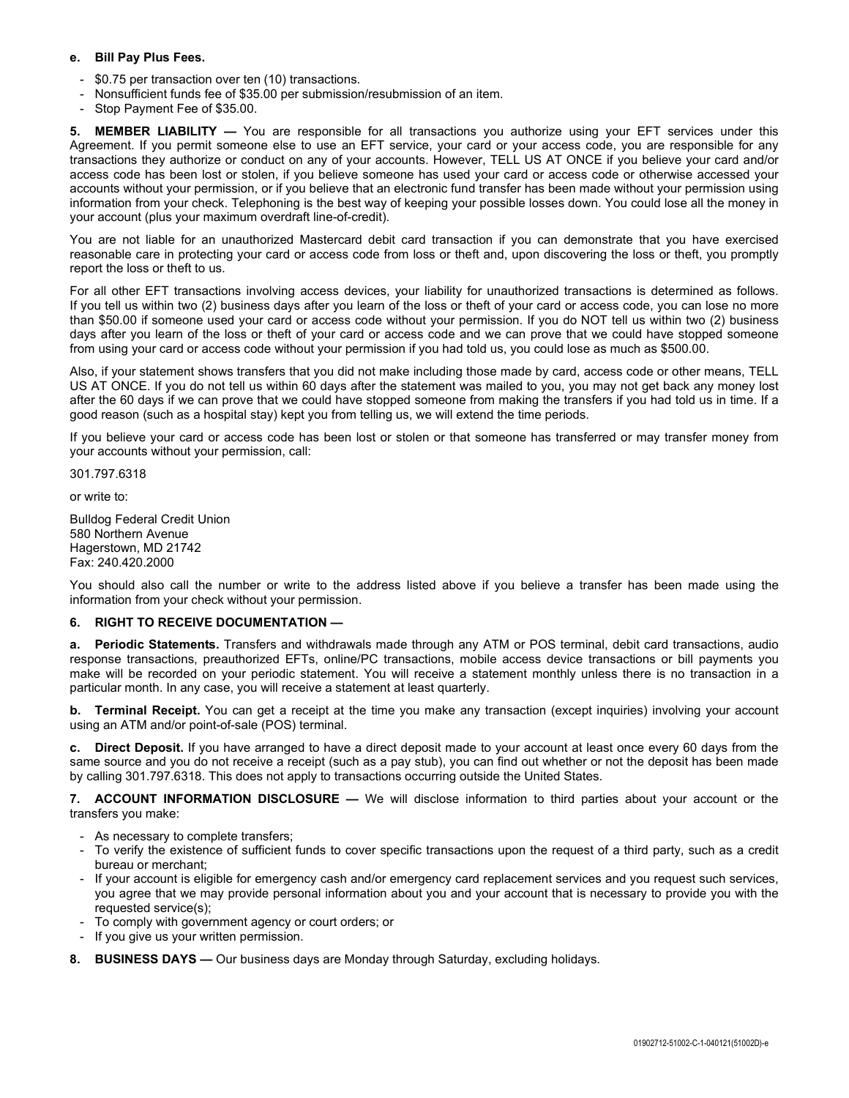#### **e. Bill Pay Plus Fees.**

- \$0.75 per transaction over ten (10) transactions.
- Nonsufficient funds fee of \$35.00 per submission/resubmission of an item.
- Stop Payment Fee of \$35.00.

**5. MEMBER LIABILITY —** You are responsible for all transactions you authorize using your EFT services under this Agreement. If you permit someone else to use an EFT service, your card or your access code, you are responsible for any transactions they authorize or conduct on any of your accounts. However, TELL US AT ONCE if you believe your card and/or access code has been lost or stolen, if you believe someone has used your card or access code or otherwise accessed your accounts without your permission, or if you believe that an electronic fund transfer has been made without your permission using information from your check. Telephoning is the best way of keeping your possible losses down. You could lose all the money in your account (plus your maximum overdraft line-of-credit).

You are not liable for an unauthorized Mastercard debit card transaction if you can demonstrate that you have exercised reasonable care in protecting your card or access code from loss or theft and, upon discovering the loss or theft, you promptly report the loss or theft to us.

For all other EFT transactions involving access devices, your liability for unauthorized transactions is determined as follows. If you tell us within two (2) business days after you learn of the loss or theft of your card or access code, you can lose no more than \$50.00 if someone used your card or access code without your permission. If you do NOT tell us within two (2) business days after you learn of the loss or theft of your card or access code and we can prove that we could have stopped someone from using your card or access code without your permission if you had told us, you could lose as much as \$500.00.

Also, if your statement shows transfers that you did not make including those made by card, access code or other means, TELL US AT ONCE. If you do not tell us within 60 days after the statement was mailed to you, you may not get back any money lost after the 60 days if we can prove that we could have stopped someone from making the transfers if you had told us in time. If a good reason (such as a hospital stay) kept you from telling us, we will extend the time periods.

If you believe your card or access code has been lost or stolen or that someone has transferred or may transfer money from your accounts without your permission, call:

301.797.6318

or write to:

Bulldog Federal Credit Union 580 Northern Avenue Hagerstown, MD 21742 Fax: 240.420.2000

You should also call the number or write to the address listed above if you believe a transfer has been made using the information from your check without your permission.

#### **6. RIGHT TO RECEIVE DOCUMENTATION —**

**a. Periodic Statements.** Transfers and withdrawals made through any ATM or POS terminal, debit card transactions, audio response transactions, preauthorized EFTs, online/PC transactions, mobile access device transactions or bill payments you make will be recorded on your periodic statement. You will receive a statement monthly unless there is no transaction in a particular month. In any case, you will receive a statement at least quarterly.

**b. Terminal Receipt.** You can get a receipt at the time you make any transaction (except inquiries) involving your account using an ATM and/or point-of-sale (POS) terminal.

**c. Direct Deposit.** If you have arranged to have a direct deposit made to your account at least once every 60 days from the same source and you do not receive a receipt (such as a pay stub), you can find out whether or not the deposit has been made by calling 301.797.6318. This does not apply to transactions occurring outside the United States.

**7. ACCOUNT INFORMATION DISCLOSURE —** We will disclose information to third parties about your account or the transfers you make:

- As necessary to complete transfers;
- To verify the existence of sufficient funds to cover specific transactions upon the request of a third party, such as a credit bureau or merchant;
- If your account is eligible for emergency cash and/or emergency card replacement services and you request such services, you agree that we may provide personal information about you and your account that is necessary to provide you with the requested service(s);
- To comply with government agency or court orders; or
- If you give us your written permission.
- **8. BUSINESS DAYS —** Our business days are Monday through Saturday, excluding holidays.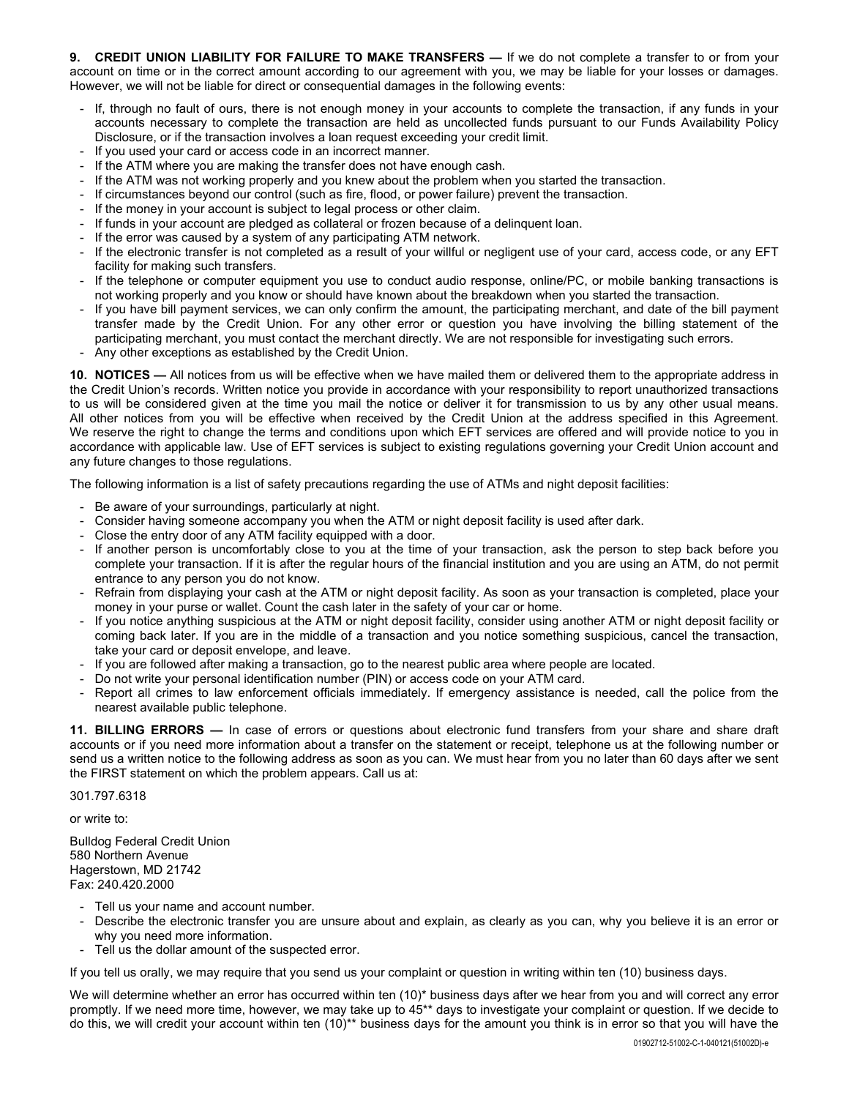**9. CREDIT UNION LIABILITY FOR FAILURE TO MAKE TRANSFERS —** If we do not complete a transfer to or from your account on time or in the correct amount according to our agreement with you, we may be liable for your losses or damages. However, we will not be liable for direct or consequential damages in the following events:

- If, through no fault of ours, there is not enough money in your accounts to complete the transaction, if any funds in your accounts necessary to complete the transaction are held as uncollected funds pursuant to our Funds Availability Policy Disclosure, or if the transaction involves a loan request exceeding your credit limit.
- If you used your card or access code in an incorrect manner.
- If the ATM where you are making the transfer does not have enough cash.
- If the ATM was not working properly and you knew about the problem when you started the transaction.
- If circumstances beyond our control (such as fire, flood, or power failure) prevent the transaction.
- If the money in your account is subject to legal process or other claim.
- If funds in your account are pledged as collateral or frozen because of a delinquent loan.
- If the error was caused by a system of any participating ATM network.
- If the electronic transfer is not completed as a result of your willful or negligent use of your card, access code, or any EFT facility for making such transfers.
- If the telephone or computer equipment you use to conduct audio response, online/PC, or mobile banking transactions is not working properly and you know or should have known about the breakdown when you started the transaction.
- If you have bill payment services, we can only confirm the amount, the participating merchant, and date of the bill payment transfer made by the Credit Union. For any other error or question you have involving the billing statement of the participating merchant, you must contact the merchant directly. We are not responsible for investigating such errors.
- Any other exceptions as established by the Credit Union.

**10. NOTICES —** All notices from us will be effective when we have mailed them or delivered them to the appropriate address in the Credit Union's records. Written notice you provide in accordance with your responsibility to report unauthorized transactions to us will be considered given at the time you mail the notice or deliver it for transmission to us by any other usual means. All other notices from you will be effective when received by the Credit Union at the address specified in this Agreement. We reserve the right to change the terms and conditions upon which EFT services are offered and will provide notice to you in accordance with applicable law. Use of EFT services is subject to existing regulations governing your Credit Union account and any future changes to those regulations.

The following information is a list of safety precautions regarding the use of ATMs and night deposit facilities:

- Be aware of your surroundings, particularly at night.
- Consider having someone accompany you when the ATM or night deposit facility is used after dark.
- Close the entry door of any ATM facility equipped with a door.
- If another person is uncomfortably close to you at the time of your transaction, ask the person to step back before you complete your transaction. If it is after the regular hours of the financial institution and you are using an ATM, do not permit entrance to any person you do not know.
- Refrain from displaying your cash at the ATM or night deposit facility. As soon as your transaction is completed, place your money in your purse or wallet. Count the cash later in the safety of your car or home.
- If you notice anything suspicious at the ATM or night deposit facility, consider using another ATM or night deposit facility or coming back later. If you are in the middle of a transaction and you notice something suspicious, cancel the transaction, take your card or deposit envelope, and leave.
- If you are followed after making a transaction, go to the nearest public area where people are located.
- Do not write your personal identification number (PIN) or access code on your ATM card.
- Report all crimes to law enforcement officials immediately. If emergency assistance is needed, call the police from the nearest available public telephone.

**11. BILLING ERRORS —** In case of errors or questions about electronic fund transfers from your share and share draft accounts or if you need more information about a transfer on the statement or receipt, telephone us at the following number or send us a written notice to the following address as soon as you can. We must hear from you no later than 60 days after we sent the FIRST statement on which the problem appears. Call us at:

301.797.6318

or write to:

Bulldog Federal Credit Union 580 Northern Avenue Hagerstown, MD 21742 Fax: 240.420.2000

- Tell us your name and account number.
- Describe the electronic transfer you are unsure about and explain, as clearly as you can, why you believe it is an error or why you need more information.
- Tell us the dollar amount of the suspected error.

If you tell us orally, we may require that you send us your complaint or question in writing within ten (10) business days.

We will determine whether an error has occurred within ten (10)\* business days after we hear from you and will correct any error promptly. If we need more time, however, we may take up to 45\*\* days to investigate your complaint or question. If we decide to do this, we will credit your account within ten (10)\*\* business days for the amount you think is in error so that you will have the